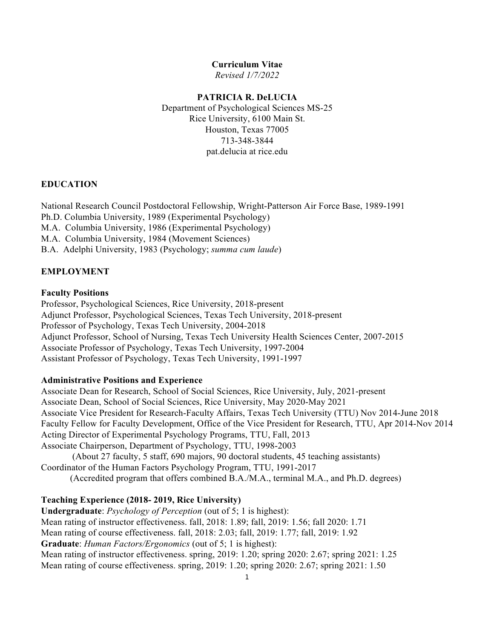### **Curriculum Vitae**

 *Revised 1/7/2022* 

#### **PATRICIA R. DeLUCIA**

 Department of Psychological Sciences MS-25 Houston, Texas 77005 pat.delucia at [rice.edu](https://rice.edu)  Rice University, 6100 Main St. 713-348-3844

#### **EDUCATION**

National Research Council Postdoctoral Fellowship, Wright-Patterson Air Force Base, 1989-1991

Ph.D. Columbia University, 1989 (Experimental Psychology)

M.A. Columbia University, 1986 (Experimental Psychology)

M.A. Columbia University, 1984 (Movement Sciences)

B.A. Adelphi University, 1983 (Psychology; *summa cum laude*)

## **EMPLOYMENT**

#### **Faculty Positions**

 Professor, Psychological Sciences, Rice University, 2018-present Adjunct Professor, Psychological Sciences, Texas Tech University, 2018-present Professor of Psychology, Texas Tech University, 2004-2018 Associate Professor of Psychology, Texas Tech University, 1997-2004 Assistant Professor of Psychology, Texas Tech University, 1991-1997 Adjunct Professor, School of Nursing, Texas Tech University Health Sciences Center, 2007-2015

#### **Administrative Positions and Experience**

 Associate Dean for Research, School of Social Sciences, Rice University, July, 2021-present Associate Dean, School of Social Sciences, Rice University, May 2020-May 2021 Associate Vice President for Research-Faculty Affairs, Texas Tech University (TTU) Nov 2014-June 2018 Faculty Fellow for Faculty Development, Office of the Vice President for Research, TTU, Apr 2014-Nov 2014 Acting Director of Experimental Psychology Programs, TTU, Fall, 2013 Associate Chairperson, Department of Psychology, TTU, 1998-2003

 (About 27 faculty, 5 staff, 690 majors, 90 doctoral students, 45 teaching assistants) Coordinator of the Human Factors Psychology Program, TTU, 1991-2017

(Accredited program that offers combined B.A./M.A., terminal M.A., and Ph.D. degrees)

#### **Teaching Experience (2018- 2019, Rice University)**

 **Undergraduate**: *Psychology of Perception* (out of 5; 1 is highest): Mean rating of instructor effectiveness. fall, 2018: 1.89; fall, 2019: 1.56; fall 2020: 1.71 Mean rating of course effectiveness. fall, 2018: 2.03; fall, 2019: 1.77; fall, 2019: 1.92 **Graduate**: *Human Factors/Ergonomics* (out of 5; 1 is highest): Mean rating of instructor effectiveness. spring, 2019: 1.20; spring 2020: 2.67; spring 2021: 1.25 Mean rating of course effectiveness. spring, 2019: 1.20; spring 2020: 2.67; spring 2021: 1.50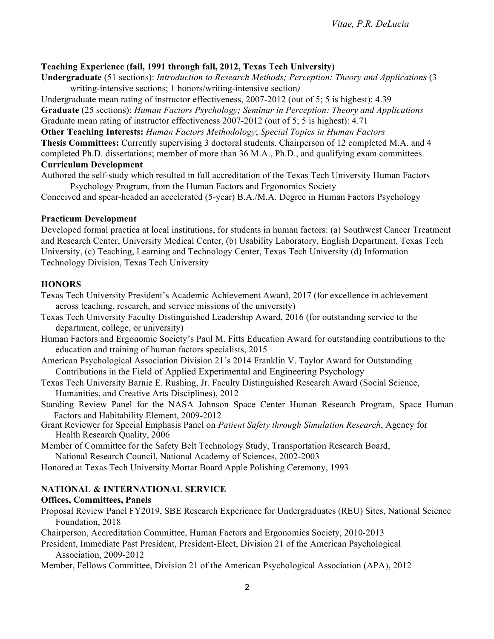# **Teaching Experience (fall, 1991 through fall, 2012, Texas Tech University)**

 **Undergraduate** (51 sections): *Introduction to Research Methods; Perception: Theory and Applications* (3 writing-intensive sections; 1 honors/writing-intensive section)

 Undergraduate mean rating of instructor effectiveness, 2007-2012 (out of 5; 5 is highest): 4.39  **Graduate** (25 sections): *Human Factors Psychology; Seminar in Perception: Theory and Applications*  Graduate mean rating of instructor effectiveness 2007-2012 (out of 5; 5 is highest): 4.71

 **Other Teaching Interests:** *Human Factors Methodology*; *Special Topics in Human Factors* 

**Thesis Committees:** Currently supervising 3 doctoral students. Chairperson of 12 completed M.A. and 4

 completed Ph.D. dissertations; member of more than 36 M.A., Ph.D., and qualifying exam committees. **Curriculum Development** 

 Authored the self-study which resulted in full accreditation of the Texas Tech University Human Factors Psychology Program, from the Human Factors and Ergonomics Society

Conceived and spear-headed an accelerated (5-year) B.A./M.A. Degree in Human Factors Psychology

### **Practicum Development**

 Developed formal practica at local institutions, for students in human factors: (a) Southwest Cancer Treatment and Research Center, University Medical Center, (b) Usability Laboratory, English Department, Texas Tech University, (c) Teaching, Learning and Technology Center, Texas Tech University (d) Information Technology Division, Texas Tech University

## **HONORS**

 Texas Tech University President's Academic Achievement Award, 2017 (for excellence in achievement across teaching, research, and service missions of the university)

- Texas Tech University Faculty Distinguished Leadership Award, 2016 (for outstanding service to the department, college, or university)
- Human Factors and Ergonomic Society's Paul M. Fitts Education Award for outstanding contributions to the education and training of human factors specialists, 2015
- American Psychological Association Division 21's 2014 Franklin V. Taylor Award for Outstanding Contributions in the Field of Applied Experimental and Engineering Psychology
- Texas Tech University Barnie E. Rushing, Jr. Faculty Distinguished Research Award (Social Science, Humanities, and Creative Arts Disciplines), 2012

 Standing Review Panel for the NASA Johnson Space Center Human Research Program, Space Human Factors and Habitability Element, 2009-2012

 Grant Reviewer for Special Emphasis Panel on *Patient Safety through Simulation Research*, Agency for Health Research Quality, 2006

 Member of Committee for the Safety Belt Technology Study, Transportation Research Board, National Research Council, National Academy of Sciences, 2002-2003

Honored at Texas Tech University Mortar Board Apple Polishing Ceremony, 1993

## **NATIONAL & INTERNATIONAL SERVICE**

## **Offices, Committees, Panels**

 Proposal Review Panel FY2019, SBE Research Experience for Undergraduates (REU) Sites, National Science Foundation, 2018

Chairperson, Accreditation Committee, Human Factors and Ergonomics Society, 2010-2013

 President, Immediate Past President, President-Elect, Division 21 of the American Psychological Association, 2009-2012

Association, 2009-2012 Member, Fellows Committee, Division 21 of the American Psychological Association (APA), 2012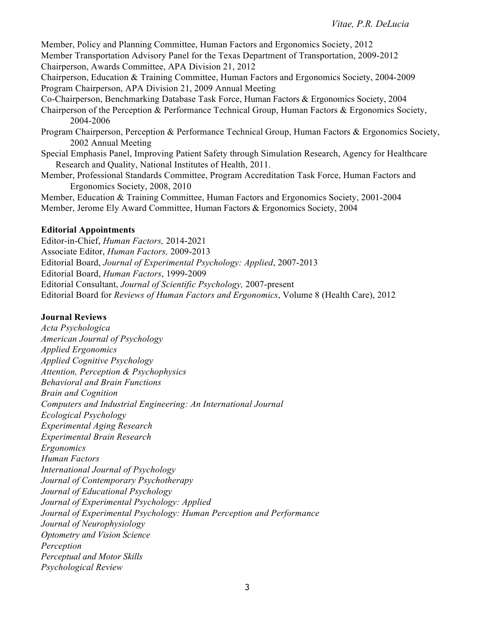Member, Policy and Planning Committee, Human Factors and Ergonomics Society, 2012 Member Transportation Advisory Panel for the Texas Department of Transportation, 2009-2012 Chairperson, Awards Committee, APA Division 21, 2012

 Chairperson, Education & Training Committee, Human Factors and Ergonomics Society, 2004-2009 Program Chairperson, APA Division 21, 2009 Annual Meeting

Co-Chairperson, Benchmarking Database Task Force, Human Factors & Ergonomics Society, 2004

 Chairperson of the Perception & Performance Technical Group, Human Factors & Ergonomics Society, 2004-2006

- 2004-2006 Program Chairperson, Perception & Performance Technical Group, Human Factors & Ergonomics Society, 2002 Annual Meeting
- Special Emphasis Panel, Improving Patient Safety through Simulation Research, Agency for Healthcare Research and Quality, National Institutes of Health, 2011.
- Member, Professional Standards Committee, Program Accreditation Task Force, Human Factors and Ergonomics Society, 2008, 2010

 Member, Education & Training Committee, Human Factors and Ergonomics Society, 2001-2004 Member, Jerome Ely Award Committee, Human Factors & Ergonomics Society, 2004

#### **Editorial Appointments**

 Editor-in-Chief, *Human Factors,* 2014-2021  Associate Editor, *Human Factors,* 2009-2013  Editorial Board, *Journal of Experimental Psychology: Applied*, 2007-2013 Editorial Board, *Human Factors*, 1999-2009  Editorial Consultant, *Journal of Scientific Psychology,* 2007-present Editorial Board for *Reviews of Human Factors and Ergonomics*, Volume 8 (Health Care), 2012

### **Journal Reviews**

 *American Journal of Psychology Applied Cognitive Psychology Attention, Perception & Psychophysics Behavioral and Brain Functions Brain and Cognition Computers and Industrial Engineering: An International Journal Experimental Aging Research Experimental Brain Research International Journal of Psychology Journal of Contemporary Psychotherapy Journal of Educational Psychology Journal of Experimental Psychology: Applied Journal of Experimental Psychology: Human Perception and Performance Journal of Neurophysiology Optometry and Vision Science Perceptual and Motor Skills Acta Psychologica Applied Ergonomics Ecological Psychology Ergonomics Human Factors Perception Psychological Review*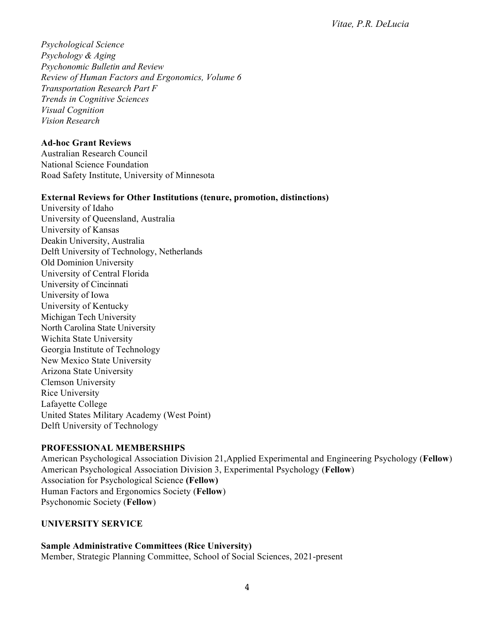*Psychology & Aging Psychonomic Bulletin and Review Review of Human Factors and Ergonomics, Volume 6 Transportation Research Part F Trends in Cognitive Sciences Vision Research Psychological Science Visual Cognition* 

### **Ad-hoc Grant Reviews**

 Australian Research Council National Science Foundation Road Safety Institute, University of Minnesota

### **External Reviews for Other Institutions (tenure, promotion, distinctions)**

 University of Idaho University of Queensland, Australia University of Kansas Deakin University, Australia Delft University of Technology, Netherlands Old Dominion University University of Central Florida University of Cincinnati University of Iowa University of Kentucky Michigan Tech University North Carolina State University Wichita State University Georgia Institute of Technology New Mexico State University Arizona State University United States Military Academy (West Point) Delft University of Technology Clemson University Rice University Lafayette College

## **PROFESSIONAL MEMBERSHIPS**

 American Psychological Association Division 21,Applied Experimental and Engineering Psychology (**Fellow**) American Psychological Association Division 3, Experimental Psychology (**Fellow**) Association for Psychological Science **(Fellow)**  Human Factors and Ergonomics Society (**Fellow**) Psychonomic Society (**Fellow**)

## **UNIVERSITY SERVICE**

 Member, Strategic Planning Committee, School of Social Sciences, 2021-present **Sample Administrative Committees (Rice University)**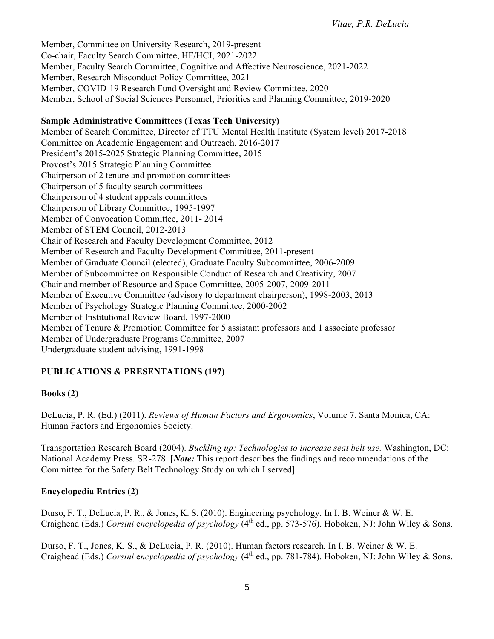Member, Committee on University Research, 2019-present Co-chair, Faculty Search Committee, HF/HCI, 2021-2022 Member, Faculty Search Committee, Cognitive and Affective Neuroscience, 2021-2022 Member, Research Misconduct Policy Committee, 2021 Member, COVID-19 Research Fund Oversight and Review Committee, 2020 Member, School of Social Sciences Personnel, Priorities and Planning Committee, 2019-2020

## **Sample Administrative Committees (Texas Tech University)**

 Member of Search Committee, Director of TTU Mental Health Institute (System level) 2017-2018 Committee on Academic Engagement and Outreach, 2016-2017 President's 2015-2025 Strategic Planning Committee, 2015 Provost's 2015 Strategic Planning Committee Chairperson of 2 tenure and promotion committees Chairperson of 5 faculty search committees Chairperson of 4 student appeals committees Chairperson of Library Committee, 1995-1997 Member of Convocation Committee, 2011- 2014 Member of STEM Council, 2012-2013 Chair of Research and Faculty Development Committee, 2012 Member of Research and Faculty Development Committee, 2011-present Member of Graduate Council (elected), Graduate Faculty Subcommittee, 2006-2009 Member of Subcommittee on Responsible Conduct of Research and Creativity, 2007 Chair and member of Resource and Space Committee, 2005-2007, 2009-2011 Member of Executive Committee (advisory to department chairperson), 1998-2003, 2013 Member of Psychology Strategic Planning Committee, 2000-2002 Member of Institutional Review Board, 1997-2000 Member of Tenure & Promotion Committee for 5 assistant professors and 1 associate professor Member of Undergraduate Programs Committee, 2007 Undergraduate student advising, 1991-1998

# **PUBLICATIONS & PRESENTATIONS (197)**

# **Books (2)**

 DeLucia, P. R. (Ed.) (2011). *Reviews of Human Factors and Ergonomics*, Volume 7. Santa Monica, CA: Human Factors and Ergonomics Society.

 Transportation Research Board (2004). *Buckling up: Technologies to increase seat belt use.* Washington, DC: National Academy Press. SR-278. [*Note:* This report describes the findings and recommendations of the Committee for the Safety Belt Technology Study on which I served].

# **Encyclopedia Entries (2)**

 Durso, F. T., DeLucia, P. R., & Jones, K. S. (2010). Engineering psychology. In I. B. Weiner & W. E. Craighead (Eds.) *Corsini encyclopedia of psychology* (4<sup>th</sup> ed., pp. 573-576). Hoboken, NJ: John Wiley & Sons.

 Durso, F. T., Jones, K. S., & DeLucia, P. R. (2010). Human factors research*.* In I. B. Weiner & W. E. Craighead (Eds.) *Corsini* e*ncyclopedia of psychology* (4th ed., pp. 781-784). Hoboken, NJ: John Wiley & Sons.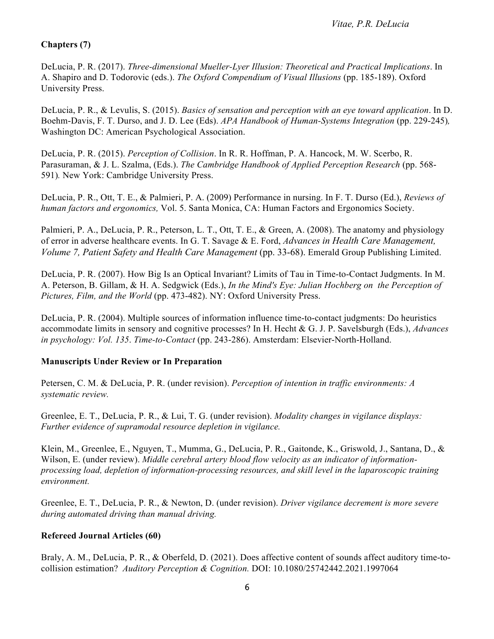# **Chapters (7)**

 DeLucia, P. R. (2017). *Three-dimensional Mueller-Lyer Illusion: Theoretical and Practical Implications*. In A. Shapiro and D. Todorovic (eds.). *The Oxford Compendium of Visual Illusions* (pp. 185-189). Oxford University Press.

University Press.<br>DeLucia, P. R., & Levulis, S. (2015). *Basics of sensation and perception with an eye toward application*. In D. Boehm-Davis, F. T. Durso, and J. D. Lee (Eds). *APA Handbook of Human-Systems Integration* (pp. 229-245)*,*  Washington DC: American Psychological Association.

 DeLucia, P. R. (2015). *Perception of Collision*. In R. R. Hoffman, P. A. Hancock, M. W. Scerbo, R. Parasuraman, & J. L. Szalma, (Eds.). *The Cambridge Handbook of Applied Perception Research* (pp. 568- 591)*.* New York: Cambridge University Press.

 DeLucia, P. R., Ott, T. E., & Palmieri, P. A. (2009) Performance in nursing. In F. T. Durso (Ed.), *Reviews of human factors and ergonomics,* Vol. 5. Santa Monica, CA: Human Factors and Ergonomics Society.

Palmieri, P. A., DeLucia, P. R., Peterson, L. T., Ott, T. E., & Green, A. (2008). The anatomy and physiology of error in adverse healthcare events. In G. T. Savage & E. Ford, *Advances in Health Care Management, Volume 7, Patient Safety and Health Care Management* (pp. 33-68). Emerald Group Publishing Limited.

 DeLucia, P. R. (2007). How Big Is an Optical Invariant? Limits of Tau in Time-to-Contact Judgments. In M. A. Peterson, B. Gillam, & H. A. Sedgwick (Eds.), *In the Mind's Eye: Julian Hochberg on the Perception of Pictures, Film, and the World* (pp. 473-482). NY: Oxford University Press.

 DeLucia, P. R. (2004). Multiple sources of information influence time-to-contact judgments: Do heuristics accommodate limits in sensory and cognitive processes? In H. Hecht & G. J. P. Savelsburgh (Eds.), *Advances in psychology: Vol. 135*. *Time-to-Contact* (pp. 243-286). Amsterdam: Elsevier-North-Holland.

## **Manuscripts Under Review or In Preparation**

 Petersen, C. M. & DeLucia, P. R. (under revision). *Perception of intention in traffic environments: A systematic review.* 

 Greenlee, E. T., DeLucia, P. R., & Lui, T. G. (under revision). *Modality changes in vigilance displays: Further evidence of supramodal resource depletion in vigilance.* 

 Klein, M., Greenlee, E., Nguyen, T., Mumma, G., DeLucia, P. R., Gaitonde, K., Griswold, J., Santana, D., & Wilson, E. (under review). *Middle cerebral artery blood flow velocity as an indicator of information- processing load, depletion of information-processing resources, and skill level in the laparoscopic training environment.* 

 Greenlee, E. T., DeLucia, P. R., & Newton, D. (under revision). *Driver vigilance decrement is more severe during automated driving than manual driving.* 

## **Refereed Journal Articles (60)**

 Braly, A. M., DeLucia, P. R., & Oberfeld, D. (2021). Does affective content of sounds affect auditory time-to- collision estimation? *Auditory Perception & Cognition.* DOI: 10.1080/25742442.2021.1997064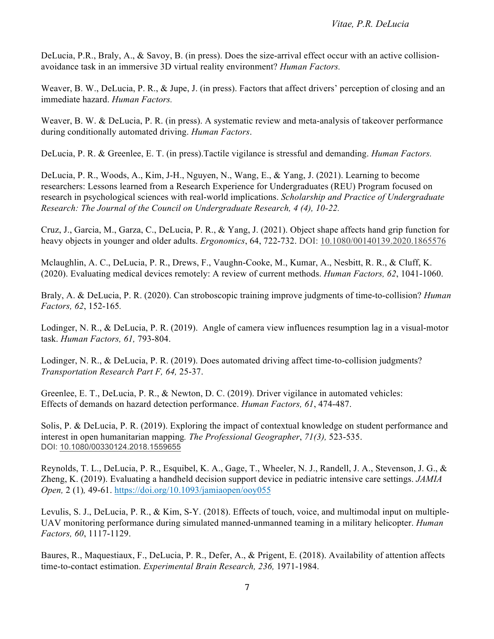DeLucia, P.R., Braly, A., & Savoy, B. (in press). Does the size-arrival effect occur with an active collision-avoidance task in an immersive 3D virtual reality environment? *Human Factors.* 

Weaver, B. W., DeLucia, P. R., & Jupe, J. (in press). Factors that affect drivers' perception of closing and an immediate hazard. *Human Factors.* 

 Weaver, B. W. & DeLucia, P. R. (in press). A systematic review and meta-analysis of takeover performance during conditionally automated driving. *Human Factors*.

DeLucia, P. R. & Greenlee, E. T. (in press).Tactile vigilance is stressful and demanding. *Human Factors.* 

 DeLucia, P. R., Woods, A., Kim, J-H., Nguyen, N., Wang, E., & Yang, J. (2021). Learning to become researchers: Lessons learned from a Research Experience for Undergraduates (REU) Program focused on research in psychological sciences with real-world implications. *Scholarship and Practice of Undergraduate Research: The Journal of the Council on Undergraduate Research, 4 (4), 10-22.* 

 Cruz, J., Garcia, M., Garza, C., DeLucia, P. R., & Yang, J. (2021). Object shape affects hand grip function for heavy objects in younger and older adults. *Ergonomics*, 64, 722-732. DOI: 10.1080/00140139.2020.1865576

 Mclaughlin, A. C., DeLucia, P. R., Drews, F., Vaughn-Cooke, M., Kumar, A., Nesbitt, R. R., & Cluff, K. (2020). Evaluating medical devices remotely: A review of current methods. *Human Factors, 62*, 1041-1060.

 Braly, A. & DeLucia, P. R. (2020). Can stroboscopic training improve judgments of time-to-collision? *Human Factors, 62*, 152-165*.* 

 Lodinger, N. R., & DeLucia, P. R. (2019). Angle of camera view influences resumption lag in a visual-motor task. *Human Factors, 61,* 793-804.

 Lodinger, N. R., & DeLucia, P. R. (2019). Does automated driving affect time-to-collision judgments?  *Transportation Research Part F, 64,* 25-37.

 Greenlee, E. T., DeLucia, P. R., & Newton, D. C. (2019). Driver vigilance in automated vehicles: Effects of demands on hazard detection performance. *Human Factors, 61*, 474-487.

 Solis, P. & DeLucia, P. R. (2019). Exploring the impact of contextual knowledge on student performance and interest in open humanitarian mapping*. The Professional Geographer*, *71(3),* 523-535. DOI: 10.1080/00330124.2018.1559655

 Reynolds, T. L., DeLucia, P. R., Esquibel, K. A., Gage, T., Wheeler, N. J., Randell, J. A., Stevenson, J. G., & Zheng, K. (2019). Evaluating a handheld decision support device in pediatric intensive care settings. *JAMIA Open,* 2 (1)*,* 49-61. <https://doi.org/10.1093/jamiaopen/ooy055>

 Levulis, S. J., DeLucia, P. R., & Kim, S-Y. (2018). Effects of touch, voice, and multimodal input on multiple-UAV monitoring performance during simulated manned-unmanned teaming in a military helicopter. *Human Factors, 60*, 1117-1129.

 Baures, R., Maquestiaux, F., DeLucia, P. R., Defer, A., & Prigent, E. (2018). Availability of attention affects time-to-contact estimation. *Experimental Brain Research, 236,* 1971-1984.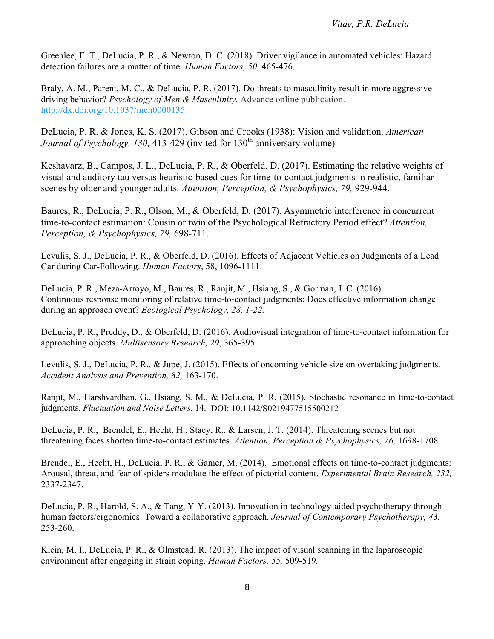Greenlee, E. T., DeLucia, P. R., & Newton, D. C. (2018). Driver vigilance in automated vehicles: Hazard detection failures are a matter of time. *Human Factors, 50,* 465-476.

Braly, A. M., Parent, M. C., & DeLucia, P. R. (2017). Do threats to masculinity result in more aggressive  driving behavior? *Psychology of Men & Masculinity.* Advance online publication. <http://dx.doi.org/10.1037/men0000135>

DeLucia, P. R. & Jones, K. S. (2017). Gibson and Crooks (1938): Vision and validation. *American Journal of Psychology, 130, 413-429 (invited for 130<sup>th</sup> anniversary volume)* 

scenes by older and younger adults. Attention, Perception, & Psychophysics, 79, 929-944. Keshavarz, B., Campos, J. L., DeLucia, P. R., & Oberfeld, D. (2017). Estimating the relative weights of visual and auditory tau versus heuristic-based cues for time-to-contact judgments in realistic, familiar

Baures, R., DeLucia, P. R., Olson, M., & Oberfeld, D. (2017). Asymmetric interference in concurrent time-to-contact estimation: Cousin or twin of the Psychological Refractory Period effect? *Attention, Perception, & Psychophysics, 79,* 698-711.

 Levulis, S. J., DeLucia, P. R., & Oberfeld, D. (2016). Effects of Adjacent Vehicles on Judgments of a Lead Car during Car-Following. *Human Factors*, 58, 1096-1111.

 DeLucia, P. R., Meza-Arroyo, M., Baures, R., Ranjit, M., Hsiang, S., & Gorman, J. C. (2016). Continuous response monitoring of relative time-to-contact judgments: Does effective information change during an approach event? *Ecological Psychology, 28, 1-22.* 

 DeLucia, P. R., Preddy, D., & Oberfeld, D. (2016). Audiovisual integration of time-to-contact information for approaching objects. *Multisensory Research, 29*, 365-395.

 Levulis, S. J., DeLucia, P. R., & Jupe, J. (2015). Effects of oncoming vehicle size on overtaking judgments.  *Accident Analysis and Prevention, 82,* 163-170.

 Ranjit, M., Harshvardhan, G., Hsiang, S. M., & DeLucia, P. R. (2015). Stochastic resonance in time-to-contact  judgments. *Fluctuation and Noise Letters*, 14. DOI: 10.1142/S0219477515500212

 DeLucia, P. R., Brendel, E., Hecht, H., Stacy, R., & Larsen, J. T. (2014). Threatening scenes but not  threatening faces shorten time-to-contact estimates. *Attention, Perception & Psychophysics, 76,* 1698-1708.

 Brendel, E., Hecht, H., DeLucia, P. R., & Gamer, M. (2014). Emotional effects on time-to-contact judgments: Arousal, threat, and fear of spiders modulate the effect of pictorial content. *Experimental Brain Research, 232,*  2337-2347.

 DeLucia, P. R., Harold, S. A., & Tang, Y-Y. (2013). Innovation in technology-aided psychotherapy through human factors/ergonomics: Toward a collaborative approach*. Journal of Contemporary Psychotherapy, 43*, 253-260.

 Klein, M. I., DeLucia, P. R., & Olmstead, R. (2013). The impact of visual scanning in the laparoscopic environment after engaging in strain coping. *Human Factors, 55,* 509-519*.*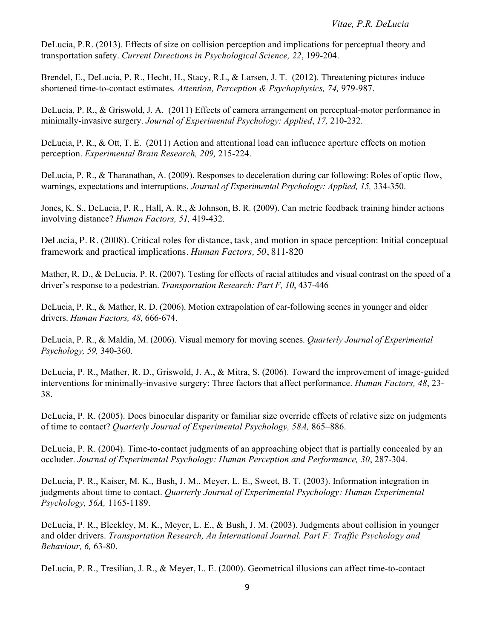DeLucia, P.R. (2013). Effects of size on collision perception and implications for perceptual theory and  transportation safety. *Current Directions in Psychological Science, 22*, 199-204.

 Brendel, E., DeLucia, P. R., Hecht, H., Stacy, R.L, & Larsen, J. T. (2012). Threatening pictures induce shortened time-to-contact estimates. Attention, Perception & Psychophysics, 74, 979-987.

 DeLucia, P. R., & Griswold, J. A. (2011) Effects of camera arrangement on perceptual-motor performance in  minimally-invasive surgery. *Journal of Experimental Psychology: Applied*, *17,* 210-232.

DeLucia, P. R., & Ott, T. E. (2011) Action and attentional load can influence aperture effects on motion  perception. *Experimental Brain Research, 209,* 215-224.

 DeLucia, P. R., & Tharanathan, A. (2009). Responses to deceleration during car following: Roles of optic flow, warnings, expectations and interruptions. *Journal of Experimental Psychology: Applied, 15,* 334-350.

 Jones, K. S., DeLucia, P. R., Hall, A. R., & Johnson, B. R. (2009). Can metric feedback training hinder actions involving distance? *Human Factors, 51,* 419-432.

DeLucia, P. R. (2008). Critical roles for distance, task, and motion in space perception: Initial conceptual framework and practical implications. *Human Factors, 50*, 811-820

Mather, R. D., & DeLucia, P. R. (2007). Testing for effects of racial attitudes and visual contrast on the speed of a driver's response to a pedestrian. *Transportation Research: Part F, 10*, 437-446

 DeLucia, P. R., & Mather, R. D. (2006). Motion extrapolation of car-following scenes in younger and older drivers. *Human Factors, 48,* 666-674.

 DeLucia, P. R., & Maldia, M. (2006). Visual memory for moving scenes. *Quarterly Journal of Experimental Psychology, 59,* 340-360.

 DeLucia, P. R., Mather, R. D., Griswold, J. A., & Mitra, S. (2006). Toward the improvement of image-guided interventions for minimally-invasive surgery: Three factors that affect performance. *Human Factors, 48*, 23- 38.

 DeLucia, P. R. (2005). Does binocular disparity or familiar size override effects of relative size on judgments of time to contact? *Quarterly Journal of Experimental Psychology, 58A,* 865–886.

 DeLucia, P. R. (2004). Time-to-contact judgments of an approaching object that is partially concealed by an  occluder. *Journal of Experimental Psychology: Human Perception and Performance, 30*, 287-304*.* 

 DeLucia, P. R., Kaiser, M. K., Bush, J. M., Meyer, L. E., Sweet, B. T. (2003). Information integration in  judgments about time to contact. *Quarterly Journal of Experimental Psychology: Human Experimental Psychology, 56A,* 1165-1189.

 DeLucia, P. R., Bleckley, M. K., Meyer, L. E., & Bush, J. M. (2003). Judgments about collision in younger and older drivers. *Transportation Research, An International Journal. Part F: Traffic Psychology and Behaviour, 6,* 63-80.

DeLucia, P. R., Tresilian, J. R., & Meyer, L. E. (2000). Geometrical illusions can affect time-to-contact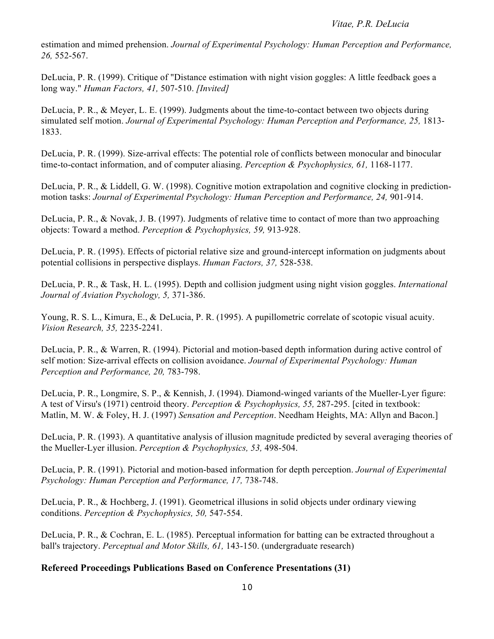### *Vitae, P.R. DeLucia*

 estimation and mimed prehension. *Journal of Experimental Psychology: Human Perception and Performance, 26,* 552-567.

 DeLucia, P. R. (1999). Critique of "Distance estimation with night vision goggles: A little feedback goes a  long way." *Human Factors, 41,* 507-510. *[Invited]* 

 DeLucia, P. R., & Meyer, L. E. (1999). Judgments about the time-to-contact between two objects during simulated self motion. *Journal of Experimental Psychology: Human Perception and Performance, 25, 1813-*1833.

 DeLucia, P. R. (1999). Size-arrival effects: The potential role of conflicts between monocular and binocular time-to-contact information, and of computer aliasing. *Perception & Psychophysics, 61,* 1168-1177.

 DeLucia, P. R., & Liddell, G. W. (1998). Cognitive motion extrapolation and cognitive clocking in prediction-motion tasks: *Journal of Experimental Psychology: Human Perception and Performance, 24,* 901-914.

 DeLucia, P. R., & Novak, J. B. (1997). Judgments of relative time to contact of more than two approaching objects: Toward a method. *Perception & Psychophysics, 59,* 913-928.

 DeLucia, P. R. (1995). Effects of pictorial relative size and ground-intercept information on judgments about potential collisions in perspective displays. *Human Factors, 37,* 528-538.

 DeLucia, P. R., & Task, H. L. (1995). Depth and collision judgment using night vision goggles. *International Journal of Aviation Psychology, 5,* 371-386.

 Young, R. S. L., Kimura, E., & DeLucia, P. R. (1995). A pupillometric correlate of scotopic visual acuity.  *Vision Research, 35,* 2235-2241.

 DeLucia, P. R., & Warren, R. (1994). Pictorial and motion-based depth information during active control of self motion: Size-arrival effects on collision avoidance. *Journal of Experimental Psychology: Human Perception and Performance, 20,* 783-798.

 DeLucia, P. R., Longmire, S. P., & Kennish, J. (1994). Diamond-winged variants of the Mueller-Lyer figure: A test of Virsu's (1971) centroid theory. *Perception & Psychophysics, 55,* 287-295. [cited in textbook: Matlin, M. W. & Foley, H. J. (1997) *Sensation and Perception*. Needham Heights, MA: Allyn and Bacon.]

 DeLucia, P. R. (1993). A quantitative analysis of illusion magnitude predicted by several averaging theories of  the Mueller-Lyer illusion. *Perception & Psychophysics, 53,* 498-504.

 DeLucia, P. R. (1991). Pictorial and motion-based information for depth perception. *Journal of Experimental Psychology: Human Perception and Performance, 17,* 738-748.

 DeLucia, P. R., & Hochberg, J. (1991). Geometrical illusions in solid objects under ordinary viewing  conditions. *Perception & Psychophysics, 50,* 547-554.

DeLucia, P. R., & Cochran, E. L. (1985). Perceptual information for batting can be extracted throughout a ball's trajectory. *Perceptual and Motor Skills, 61,* 143-150. (undergraduate research)

# **Refereed Proceedings Publications Based on Conference Presentations (31)**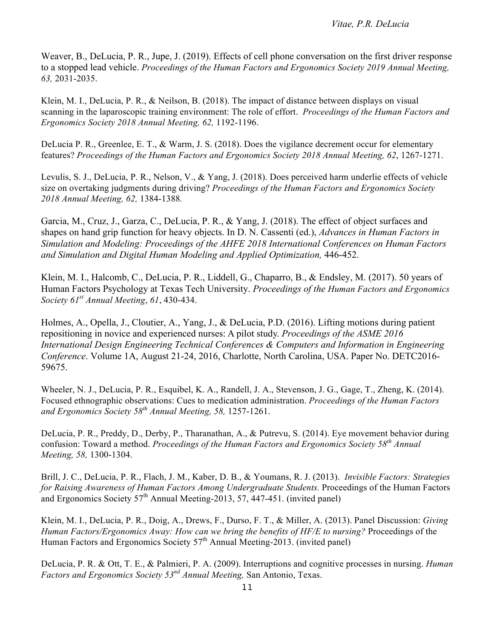to a stopped lead vehicle. *Proceedings of the Human Factors and Ergonomics Society 2019 Annual Meeting,*  Weaver, B., DeLucia, P. R., Jupe, J. (2019). Effects of cell phone conversation on the first driver response *63,* 2031-2035.

 Klein, M. I., DeLucia, P. R., & Neilson, B. (2018). The impact of distance between displays on visual scanning in the laparoscopic training environment: The role of effort. *Proceedings of the Human Factors and Ergonomics Society 2018 Annual Meeting, 62,* 1192-1196.

 DeLucia P. R., Greenlee, E. T., & Warm, J. S. (2018). Does the vigilance decrement occur for elementary  features? *Proceedings of the Human Factors and Ergonomics Society 2018 Annual Meeting, 62*, 1267-1271.

 Levulis, S. J., DeLucia, P. R., Nelson, V., & Yang, J. (2018). Does perceived harm underlie effects of vehicle size on overtaking judgments during driving? *Proceedings of the Human Factors and Ergonomics Society 2018 Annual Meeting, 62,* 1384-1388*.* 

 shapes on hand grip function for heavy objects. In D. N. Cassenti (ed.), *Advances in Human Factors in Simulation and Modeling: Proceedings of the AHFE 2018 International Conferences on Human Factors*  Garcia, M., Cruz, J., Garza, C., DeLucia, P. R., & Yang, J. (2018). The effect of object surfaces and *and Simulation and Digital Human Modeling and Applied Optimization,* 446-452.

 Human Factors Psychology at Texas Tech University. *Proceedings of the Human Factors and Ergonomics*  Klein, M. I., Halcomb, C., DeLucia, P. R., Liddell, G., Chaparro, B., & Endsley, M. (2017). 50 years of *Society 61st Annual Meeting*, *61*, 430-434.

Holmes, A., Opella, J., Cloutier, A., Yang, J., & DeLucia, P.D. (2016). Lifting motions during patient repositioning in novice and experienced nurses: A pilot study. *Proceedings of the ASME 2016 International Design Engineering Technical Conferences & Computers and Information in Engineering Conference*. Volume 1A, August 21-24, 2016, Charlotte, North Carolina, USA. Paper No. DETC2016- 59675.

 Wheeler, N. J., DeLucia, P. R., Esquibel, K. A., Randell, J. A., Stevenson, J. G., Gage, T., Zheng, K. (2014). Focused ethnographic observations: Cues to medication administration. *Proceedings of the Human Factors and Ergonomics Society 58th Annual Meeting, 58,* 1257-1261.

 DeLucia, P. R., Preddy, D., Derby, P., Tharanathan, A., & Putrevu, S. (2014). Eye movement behavior during confusion: Toward a method. *Proceedings of the Human Factors and Ergonomics Society 58th Annual Meeting, 58,* 1300-1304.

 Brill, J. C., DeLucia, P. R., Flach, J. M., Kaber, D. B., & Youmans, R. J. (2013). *Invisible Factors: Strategies for Raising Awareness of Human Factors Among Undergraduate Students.* Proceedings of the Human Factors and Ergonomics Society  $57<sup>th</sup>$  Annual Meeting-2013, 57, 447-451. (invited panel)

 Klein, M. I., DeLucia, P. R., Doig, A., Drews, F., Durso, F. T., & Miller, A. (2013). Panel Discussion: *Giving Human Factors/Ergonomics Away: How can we bring the benefits of HF/E to nursing?* Proceedings of the Human Factors and Ergonomics Society 57<sup>th</sup> Annual Meeting-2013. (invited panel)

 DeLucia, P. R. & Ott, T. E., & Palmieri, P. A. (2009). Interruptions and cognitive processes in nursing. *Human Factors and Ergonomics Society 53nd Annual Meeting,* San Antonio, Texas.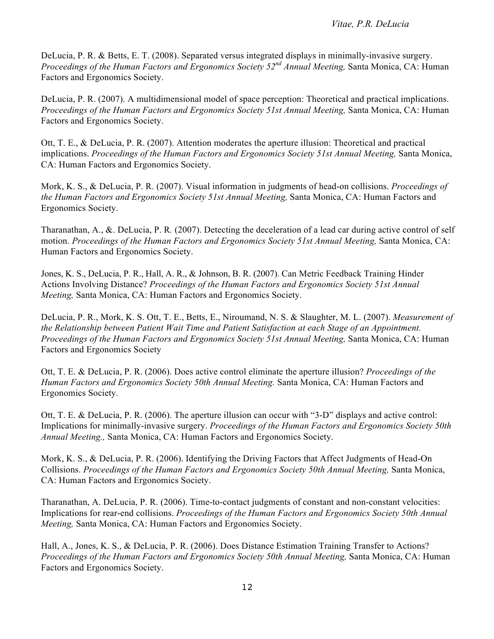DeLucia, P. R. & Betts, E. T. (2008). Separated versus integrated displays in minimally-invasive surgery.  *Proceedings of the Human Factors and Ergonomics Society 52nd Annual Meeting,* Santa Monica, CA: Human Factors and Ergonomics Society.

 DeLucia, P. R. (2007). A multidimensional model of space perception: Theoretical and practical implications. Proceedings of the Human Factors and Ergonomics Society 51st Annual Meeting, Santa Monica, CA: Human Factors and Ergonomics Society.

 Ott, T. E., & DeLucia, P. R. (2007). Attention moderates the aperture illusion: Theoretical and practical implications. *Proceedings of the Human Factors and Ergonomics Society 51st Annual Meeting, Santa Monica,* CA: Human Factors and Ergonomics Society.

 Mork, K. S., & DeLucia, P. R. (2007). Visual information in judgments of head-on collisions. *Proceedings of the Human Factors and Ergonomics Society 51st Annual Meeting,* Santa Monica, CA: Human Factors and Ergonomics Society.

 Tharanathan, A., &. DeLucia, P. R*.* (2007). Detecting the deceleration of a lead car during active control of self motion. *Proceedings of the Human Factors and Ergonomics Society 51st Annual Meeting, Santa Monica, CA:* Human Factors and Ergonomics Society.

 Jones, K. S., DeLucia, P. R., Hall, A. R., & Johnson, B. R. (2007). Can Metric Feedback Training Hinder Actions Involving Distance? *Proceedings of the Human Factors and Ergonomics Society 51st Annual Meeting,* Santa Monica, CA: Human Factors and Ergonomics Society.

 DeLucia, P. R., Mork, K. S. Ott, T. E., Betts, E., Niroumand, N. S. & Slaughter, M. L. (2007). *Measurement of*  Proceedings of the Human Factors and Ergonomics Society 51st Annual Meeting, Santa Monica, CA: Human Factors and Ergonomics Society *the Relationship between Patient Wait Time and Patient Satisfaction at each Stage of an Appointment.* 

 Ott, T. E. & DeLucia, P. R. (2006). Does active control eliminate the aperture illusion? *Proceedings of the Human Factors and Ergonomics Society 50th Annual Meeting.* Santa Monica, CA: Human Factors and Ergonomics Society.

 Ott, T. E. & DeLucia, P. R. (2006). The aperture illusion can occur with "3-D" displays and active control:  Implications for minimally-invasive surgery. *Proceedings of the Human Factors and Ergonomics Society 50th Annual Meeting.,* Santa Monica, CA: Human Factors and Ergonomics Society.

 Mork, K. S., & DeLucia, P. R. (2006). Identifying the Driving Factors that Affect Judgments of Head-On  Collisions. *Proceedings of the Human Factors and Ergonomics Society 50th Annual Meeting,* Santa Monica, CA: Human Factors and Ergonomics Society.

 Tharanathan, A. DeLucia, P. R. (2006). Time-to-contact judgments of constant and non-constant velocities: Implications for rear-end collisions. *Proceedings of the Human Factors and Ergonomics Society 50th Annual Meeting,* Santa Monica, CA: Human Factors and Ergonomics Society.

 Hall, A., Jones, K. S., & DeLucia, P. R. (2006). Does Distance Estimation Training Transfer to Actions? Proceedings of the Human Factors and Ergonomics Society 50th Annual Meeting, Santa Monica, CA: Human Factors and Ergonomics Society.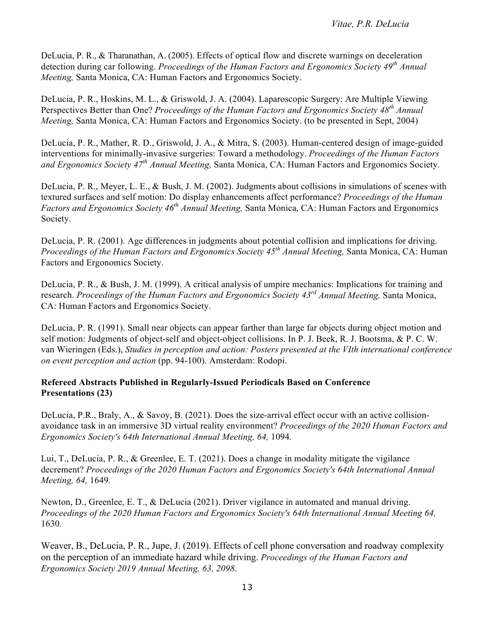DeLucia, P. R., & Tharanathan, A. (2005). Effects of optical flow and discrete warnings on deceleration detection during car following. *Proceedings of the Human Factors and Ergonomics Society 49th Annual Meeting,* Santa Monica, CA: Human Factors and Ergonomics Society.

 DeLucia, P. R., Hoskins, M. L., & Griswold, J. A. (2004). Laparoscopic Surgery: Are Multiple Viewing Perspectives Better than One? *Proceedings of the Human Factors and Ergonomics Society 48th Annual Meeting,* Santa Monica, CA: Human Factors and Ergonomics Society. (to be presented in Sept, 2004)

 DeLucia, P. R., Mather, R. D., Griswold, J. A., & Mitra, S. (2003). Human-centered design of image-guided interventions for minimally-invasive surgeries: Toward a methodology. *Proceedings of the Human Factors and Ergonomics Society 47th Annual Meeting,* Santa Monica, CA: Human Factors and Ergonomics Society.

 DeLucia, P. R., Meyer, L. E., & Bush, J. M. (2002). Judgments about collisions in simulations of scenes with  textured surfaces and self motion: Do display enhancements affect performance? *Proceedings of the Human Factors and Ergonomics Society 46th Annual Meeting,* Santa Monica, CA: Human Factors and Ergonomics Society.

 DeLucia, P. R. (2001). Age differences in judgments about potential collision and implications for driving.  *Proceedings of the Human Factors and Ergonomics Society 45th Annual Meeting,* Santa Monica, CA: Human Factors and Ergonomics Society.

 DeLucia, P. R., & Bush, J. M. (1999). A critical analysis of umpire mechanics: Implications for training and  research. *Proceedings of the Human Factors and Ergonomics Society 43rd Annual Meeting,* Santa Monica, CA: Human Factors and Ergonomics Society.

 DeLucia, P. R. (1991). Small near objects can appear farther than large far objects during object motion and self motion: Judgments of object-self and object-object collisions. In P. J. Beek, R. J. Bootsma, & P. C. W.  van Wieringen (Eds.), *Studies in perception and action: Posters presented at the VIth international conference on event perception and action* (pp. 94-100). Amsterdam: Rodopi.

## **Refereed Abstracts Published in Regularly-Issued Periodicals Based on Conference Presentations (23)**

 DeLucia, P.R., Braly, A., & Savoy, B. (2021). Does the size-arrival effect occur with an active collision- avoidance task in an immersive 3D virtual reality environment? *Proceedings of the 2020 Human Factors and Ergonomics Society's 64th International Annual Meeting, 64,* 1094*.* 

 Lui, T., DeLucia, P. R., & Greenlee, E. T. (2021). Does a change in modality mitigate the vigilance  decrement? *Proceedings of the 2020 Human Factors and Ergonomics Society's 64th International Annual Meeting, 64,* 1649*.* 

 Newton, D., Greenlee, E. T., & DeLucia (2021). Driver vigilance in automated and manual driving.  *Proceedings of the 2020 Human Factors and Ergonomics Society's 64th International Annual Meeting 64,*  1630*.* 

 on the perception of an immediate hazard while driving. *Proceedings of the Human Factors and Ergonomics Society 2019 Annual Meeting, 63, 2098*. Weaver, B., DeLucia, P. R., Jupe, J. (2019). Effects of cell phone conversation and roadway complexity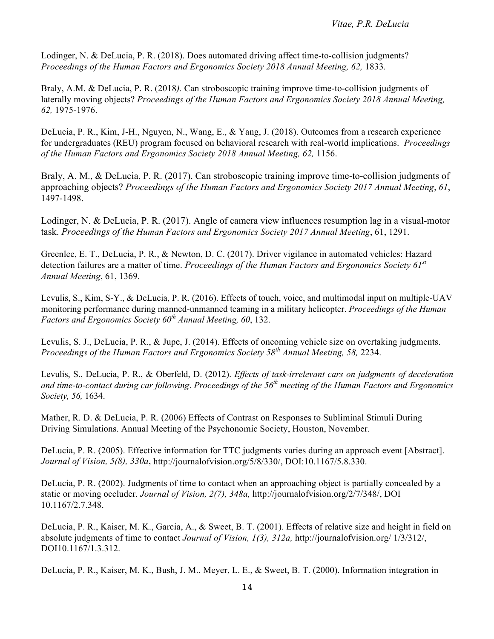Lodinger, N. & DeLucia, P. R. (2018). Does automated driving affect time-to-collision judgments? Proceedings of the Human Factors and Ergonomics Society 2018 Annual Meeting, 62, 1833.

 Braly, A.M. & DeLucia, P. R. (2018*).* Can stroboscopic training improve time-to-collision judgments of  laterally moving objects? *Proceedings of the Human Factors and Ergonomics Society 2018 Annual Meeting, 62,* 1975-1976.

 DeLucia, P. R., Kim, J-H., Nguyen, N., Wang, E., & Yang, J. (2018). Outcomes from a research experience for undergraduates (REU) program focused on behavioral research with real-world implications. *Proceedings of the Human Factors and Ergonomics Society 2018 Annual Meeting, 62,* 1156.

 approaching objects? *Proceedings of the Human Factors and Ergonomics Society 2017 Annual Meeting*, *61*, Braly, A. M., & DeLucia, P. R. (2017). Can stroboscopic training improve time-to-collision judgments of 1497-1498.

 task. *Proceedings of the Human Factors and Ergonomics Society 2017 Annual Meeting*, 61, 1291. Lodinger, N. & DeLucia, P. R. (2017). Angle of camera view influences resumption lag in a visual-motor

 Greenlee, E. T., DeLucia, P. R., & Newton, D. C. (2017). Driver vigilance in automated vehicles: Hazard detection failures are a matter of time. *Proceedings of the Human Factors and Ergonomics Society 61st Annual Meeting*, 61, 1369.

 Levulis, S., Kim, S-Y., & DeLucia, P. R. (2016). Effects of touch, voice, and multimodal input on multiple-UAV monitoring performance during manned-unmanned teaming in a military helicopter. *Proceedings of the Human*  Factors and Ergonomics Society 60<sup>th</sup> Annual Meeting, 60, 132.

 Levulis, S. J., DeLucia, P. R., & Jupe, J. (2014). Effects of oncoming vehicle size on overtaking judgments.  *Proceedings of the Human Factors and Ergonomics Society 58th Annual Meeting, 58,* 2234.

 Levulis, S., DeLucia, P. R., & Oberfeld, D. (2012). *Effects of task-irrelevant cars on judgments of deceleration and time-to-contact during car following*. *Proceedings of the 56th meeting of the Human Factors and Ergonomics Society, 56,* 1634.

 Mather, R. D. & DeLucia, P. R. (2006) Effects of Contrast on Responses to Subliminal Stimuli During Driving Simulations. Annual Meeting of the Psychonomic Society, Houston, November.

 DeLucia, P. R. (2005). Effective information for TTC judgments varies during an approach event [Abstract].  *Journal of Vision, 5(8), 330a*,<http://journalofvision.org/5/8/330>/, DOI:10.1167/5.8.330.

 DeLucia, P. R. (2002). Judgments of time to contact when an approaching object is partially concealed by a static or moving occluder. *Journal of Vision, 2(7), 348a,* <http://journalofvision.org/2/7/348>/, DOI 10.1167/2.7.348.

 DeLucia, P. R., Kaiser, M. K., Garcia, A., & Sweet, B. T. (2001). Effects of relative size and height in field on absolute judgments of time to contact *Journal of Vision, 1(3), 312a,* [http://journalofvision.org/](http://journalofvision.org) 1/3/312/, DOI10.1167/1.3.312.

DeLucia, P. R., Kaiser, M. K., Bush, J. M., Meyer, L. E., & Sweet, B. T. (2000). Information integration in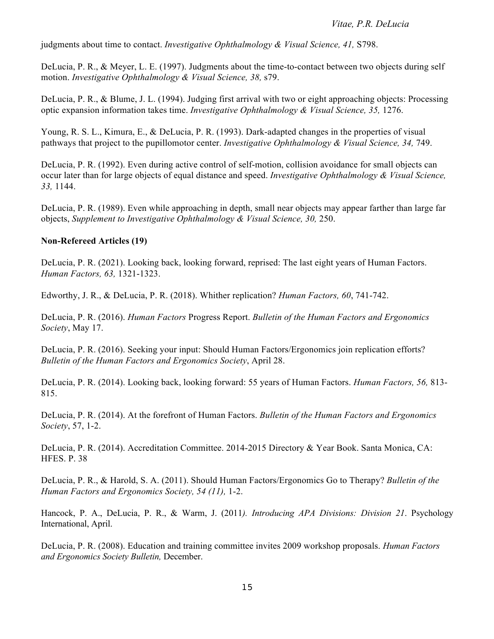judgments about time to contact. *Investigative Ophthalmology & Visual Science, 41,* S798.

DeLucia, P. R., & Meyer, L. E. (1997). Judgments about the time-to-contact between two objects during self  motion. *Investigative Ophthalmology & Visual Science, 38,* s79.

 DeLucia, P. R., & Blume, J. L. (1994). Judging first arrival with two or eight approaching objects: Processing optic expansion information takes time. *Investigative Ophthalmology & Visual Science, 35,* 1276.

 Young, R. S. L., Kimura, E., & DeLucia, P. R. (1993). Dark-adapted changes in the properties of visual pathways that project to the pupillomotor center. *Investigative Ophthalmology & Visual Science*, 34, 749.

 DeLucia, P. R. (1992). Even during active control of self-motion, collision avoidance for small objects can occur later than for large objects of equal distance and speed. *Investigative Ophthalmology & Visual Science, 33,* 1144.

 DeLucia, P. R. (1989). Even while approaching in depth, small near objects may appear farther than large far  objects, *Supplement to Investigative Ophthalmology & Visual Science, 30,* 250.

### **Non-Refereed Articles (19)**

 DeLucia, P. R. (2021). Looking back, looking forward, reprised: The last eight years of Human Factors.  *Human Factors, 63,* 1321-1323.

Edworthy, J. R., & DeLucia, P. R. (2018). Whither replication? *Human Factors, 60*, 741-742.

 DeLucia, P. R. (2016). *Human Factors* Progress Report. *Bulletin of the Human Factors and Ergonomics Society*, May 17.

 DeLucia, P. R. (2016). Seeking your input: Should Human Factors/Ergonomics join replication efforts?  *Bulletin of the Human Factors and Ergonomics Society*, April 28.

 DeLucia, P. R. (2014). Looking back, looking forward: 55 years of Human Factors. *Human Factors, 56,* 813- 815.

 DeLucia, P. R. (2014). At the forefront of Human Factors. *Bulletin of the Human Factors and Ergonomics Society*, 57, 1-2.

 DeLucia, P. R. (2014). Accreditation Committee. 2014-2015 Directory & Year Book. Santa Monica, CA: HFES. P. 38

 DeLucia, P. R., & Harold, S. A. (2011). Should Human Factors/Ergonomics Go to Therapy? *Bulletin of the Human Factors and Ergonomics Society, 54 (11),* 1-2.

 Hancock, P. A., DeLucia, P. R., & Warm, J. (2011*). Introducing APA Divisions: Division 21*. Psychology International, April.

 DeLucia, P. R. (2008). Education and training committee invites 2009 workshop proposals. *Human Factors and Ergonomics Society Bulletin,* December.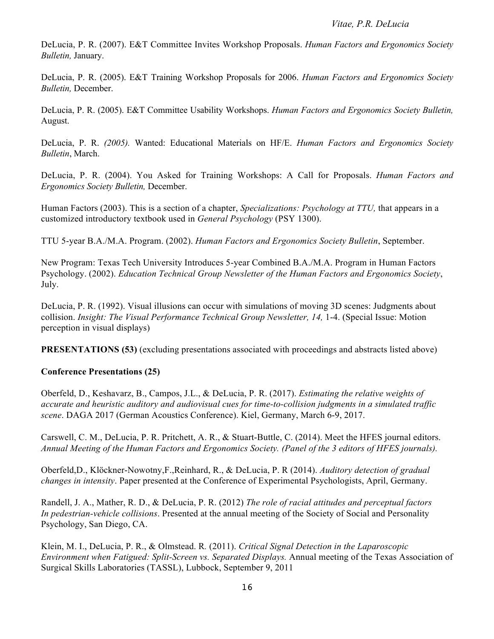DeLucia, P. R. (2007). E&T Committee Invites Workshop Proposals. *Human Factors and Ergonomics Society Bulletin,* January.

 DeLucia, P. R. (2005). E&T Training Workshop Proposals for 2006. *Human Factors and Ergonomics Society Bulletin,* December.

 DeLucia, P. R. (2005). E&T Committee Usability Workshops. *Human Factors and Ergonomics Society Bulletin,*  August.

 DeLucia, P. R. *(2005).* Wanted: Educational Materials on HF/E. *Human Factors and Ergonomics Society Bulletin*, March.

 DeLucia, P. R. (2004). You Asked for Training Workshops: A Call for Proposals. *Human Factors and Ergonomics Society Bulletin,* December.

 Human Factors (2003). This is a section of a chapter, *Specializations: Psychology at TTU,* that appears in a customized introductory textbook used in *General Psychology* (PSY 1300).

TTU 5-year B.A./M.A. Program. (2002). *Human Factors and Ergonomics Society Bulletin*, September.

 New Program: Texas Tech University Introduces 5-year Combined B.A./M.A. Program in Human Factors Psychology. (2002). *Education Technical Group Newsletter of the Human Factors and Ergonomics Society*, July.

 DeLucia, P. R. (1992). Visual illusions can occur with simulations of moving 3D scenes: Judgments about collision. *Insight: The Visual Performance Technical Group Newsletter, 14, 1-4.* (Special Issue: Motion perception in visual displays)

**PRESENTATIONS (53)** (excluding presentations associated with proceedings and abstracts listed above)

## **Conference Presentations (25)**

 Oberfeld, D., Keshavarz, B., Campos, J.L., & DeLucia, P. R. (2017). *Estimating the relative weights of accurate and heuristic auditory and audiovisual cues for time-to-collision judgments in a simulated traffic scene*. DAGA 2017 (German Acoustics Conference). Kiel, Germany, March 6-9, 2017.

 Carswell, C. M., DeLucia, P. R. Pritchett, A. R., & Stuart-Buttle, C. (2014). Meet the HFES journal editors.  *Annual Meeting of the Human Factors and Ergonomics Society. (Panel of the 3 editors of HFES journals).* 

 Oberfeld,D., Klöckner-Nowotny,F.,Reinhard, R., & DeLucia, P. R (2014). *Auditory detection of gradual changes in intensity*. Paper presented at the Conference of Experimental Psychologists, April, Germany.

 Randell, J. A., Mather, R. D., & DeLucia, P. R. (2012) *The role of racial attitudes and perceptual factors*  Psychology, San Diego, CA. *In pedestrian-vehicle collisions*. Presented at the annual meeting of the Society of Social and Personality

 Klein, M. I., DeLucia, P. R., & Olmstead. R*.* (2011). *Critical Signal Detection in the Laparoscopic Environment when Fatigued: Split-Screen vs. Separated Displays.* Annual meeting of the Texas Association of Surgical Skills Laboratories (TASSL), Lubbock, September 9, 2011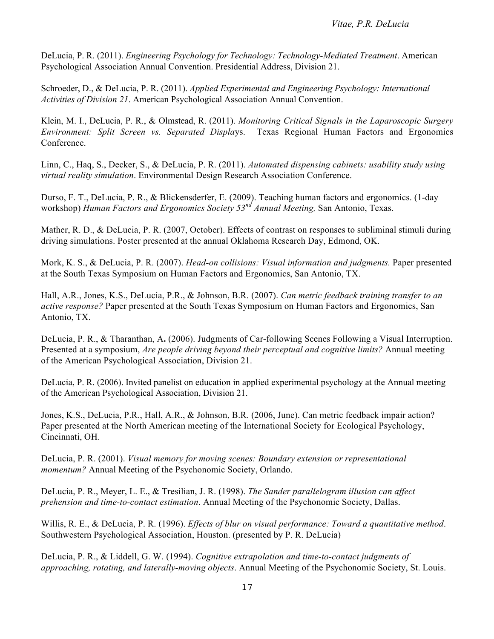DeLucia, P. R. (2011). *Engineering Psychology for Technology: Technology-Mediated Treatment*. American Psychological Association Annual Convention. Presidential Address, Division 21.

 Schroeder, D., & DeLucia, P. R. (2011). *Applied Experimental and Engineering Psychology: International Activities of Division 21*. American Psychological Association Annual Convention.

 Klein, M. I., DeLucia, P. R., & Olmstead, R. (2011). *Monitoring Critical Signals in the Laparoscopic Surgery Environment: Split Screen vs. Separated Displa*ys. Texas Regional Human Factors and Ergonomics Conference.

 Linn, C., Haq, S., Decker, S., & DeLucia, P. R. (2011). *Automated dispensing cabinets: usability study using virtual reality simulation*. Environmental Design Research Association Conference.

 Durso, F. T., DeLucia, P. R., & Blickensderfer, E. (2009). Teaching human factors and ergonomics. (1-day  workshop) *Human Factors and Ergonomics Society 53nd Annual Meeting,* San Antonio, Texas.

Mather, R. D., & DeLucia, P. R. (2007, October). Effects of contrast on responses to subliminal stimuli during driving simulations. Poster presented at the annual Oklahoma Research Day, Edmond, OK.

 Mork, K. S., & DeLucia, P. R. (2007). *Head-on collisions: Visual information and judgments.* Paper presented at the South Texas Symposium on Human Factors and Ergonomics, San Antonio, TX.

 Hall, A.R., Jones, K.S., DeLucia, P.R., & Johnson, B.R. (2007). *Can metric feedback training transfer to an active response?* Paper presented at the South Texas Symposium on Human Factors and Ergonomics, San Antonio, TX.

 DeLucia, P. R., & Tharanthan, A**.** (2006). Judgments of Car-following Scenes Following a Visual Interruption. Presented at a symposium, *Are people driving beyond their perceptual and cognitive limits?* Annual meeting of the American Psychological Association, Division 21.

 DeLucia, P. R. (2006). Invited panelist on education in applied experimental psychology at the Annual meeting of the American Psychological Association, Division 21.

 Jones, K.S., DeLucia, P.R., Hall, A.R., & Johnson, B.R. (2006, June). Can metric feedback impair action? Paper presented at the North American meeting of the International Society for Ecological Psychology, Cincinnati, OH.

 DeLucia, P. R. (2001). *Visual memory for moving scenes: Boundary extension or representational momentum?* Annual Meeting of the Psychonomic Society, Orlando.

 DeLucia, P. R., Meyer, L. E., & Tresilian, J. R. (1998). *The Sander parallelogram illusion can affect prehension and time-to-contact estimation*. Annual Meeting of the Psychonomic Society, Dallas.

 Willis, R. E., & DeLucia, P. R. (1996). *Effects of blur on visual performance: Toward a quantitative method*. Southwestern Psychological Association, Houston. (presented by P. R. DeLucia)

 DeLucia, P. R., & Liddell, G. W. (1994). *Cognitive extrapolation and time-to-contact judgments of approaching, rotating, and laterally-moving objects*. Annual Meeting of the Psychonomic Society, St. Louis.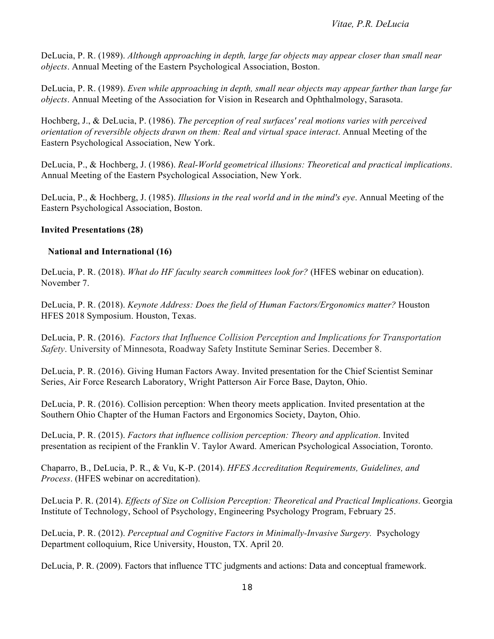DeLucia, P. R. (1989). *Although approaching in depth, large far objects may appear closer than small near objects*. Annual Meeting of the Eastern Psychological Association, Boston.

 DeLucia, P. R. (1989). *Even while approaching in depth, small near objects may appear farther than large far objects*. Annual Meeting of the Association for Vision in Research and Ophthalmology, Sarasota.

 Hochberg, J., & DeLucia, P. (1986). *The perception of real surfaces' real motions varies with perceived orientation of reversible objects drawn on them: Real and virtual space interact*. Annual Meeting of the Eastern Psychological Association, New York.

 DeLucia, P., & Hochberg, J. (1986). *Real-World geometrical illusions: Theoretical and practical implications*. Annual Meeting of the Eastern Psychological Association, New York.

 DeLucia, P., & Hochberg, J. (1985). *Illusions in the real world and in the mind's eye*. Annual Meeting of the Eastern Psychological Association, Boston.

## **Invited Presentations (28)**

## **National and International (16)**

 DeLucia, P. R. (2018). *What do HF faculty search committees look for?* (HFES webinar on education). November 7.

 DeLucia, P. R. (2018). *Keynote Address: Does the field of Human Factors/Ergonomics matter?* Houston HFES 2018 Symposium. Houston, Texas.

 DeLucia, P. R. (2016). *Factors that Influence Collision Perception and Implications for Transportation Safety*. University of Minnesota, Roadway Safety Institute Seminar Series. December 8.

 DeLucia, P. R. (2016). Giving Human Factors Away. Invited presentation for the Chief Scientist Seminar Series, Air Force Research Laboratory, Wright Patterson Air Force Base, Dayton, Ohio.

 DeLucia, P. R. (2016). Collision perception: When theory meets application. Invited presentation at the Southern Ohio Chapter of the Human Factors and Ergonomics Society, Dayton, Ohio.

 DeLucia, P. R. (2015). *Factors that influence collision perception: Theory and application*. Invited presentation as recipient of the Franklin V. Taylor Award. American Psychological Association, Toronto.

 Chaparro, B., DeLucia, P. R., & Vu, K-P. (2014). *HFES Accreditation Requirements, Guidelines, and Process*. (HFES webinar on accreditation).

 DeLucia P. R. (2014). *Effects of Size on Collision Perception: Theoretical and Practical Implications*. Georgia Institute of Technology, School of Psychology, Engineering Psychology Program, February 25.

 DeLucia, P. R. (2012). *Perceptual and Cognitive Factors in Minimally-Invasive Surgery.* Psychology Department colloquium, Rice University, Houston, TX. April 20.

DeLucia, P. R. (2009). Factors that influence TTC judgments and actions: Data and conceptual framework.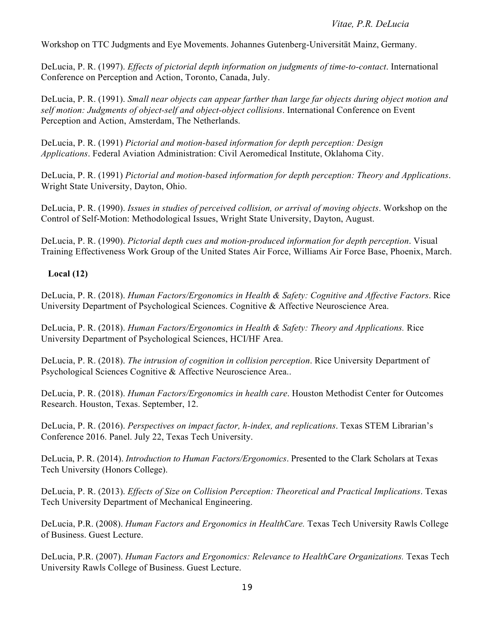#### *Vitae, P.R. DeLucia*

Workshop on TTC Judgments and Eye Movements. Johannes Gutenberg-Universität Mainz, Germany.

 DeLucia, P. R. (1997). *Effects of pictorial depth information on judgments of time-to-contact*. International Conference on Perception and Action, Toronto, Canada, July.

 DeLucia, P. R. (1991). *Small near objects can appear farther than large far objects during object motion and self motion: Judgments of object-self and object-object collisions*. International Conference on Event Perception and Action, Amsterdam, The Netherlands.

 DeLucia, P. R. (1991) *Pictorial and motion-based information for depth perception: Design Applications*. Federal Aviation Administration: Civil Aeromedical Institute, Oklahoma City.

 DeLucia, P. R. (1991) *Pictorial and motion-based information for depth perception: Theory and Applications*. Wright State University, Dayton, Ohio.

 DeLucia, P. R. (1990). *Issues in studies of perceived collision, or arrival of moving objects*. Workshop on the Control of Self-Motion: Methodological Issues, Wright State University, Dayton, August.

 DeLucia, P. R. (1990). *Pictorial depth cues and motion-produced information for depth perception*. Visual Training Effectiveness Work Group of the United States Air Force, Williams Air Force Base, Phoenix, March.

## **Local (12)**

 DeLucia, P. R. (2018). *Human Factors/Ergonomics in Health & Safety: Cognitive and Affective Factors*. Rice University Department of Psychological Sciences. Cognitive & Affective Neuroscience Area.

 DeLucia, P. R. (2018). *Human Factors/Ergonomics in Health & Safety: Theory and Applications.* Rice University Department of Psychological Sciences, HCI/HF Area.

 DeLucia, P. R. (2018). *The intrusion of cognition in collision perception*. Rice University Department of Psychological Sciences Cognitive & Affective Neuroscience Area..

 DeLucia, P. R. (2018). *Human Factors/Ergonomics in health care*. Houston Methodist Center for Outcomes Research. Houston, Texas. September, 12.

 DeLucia, P. R. (2016). *Perspectives on impact factor, h-index, and replications*. Texas STEM Librarian's Conference 2016. Panel. July 22, Texas Tech University.

DeLucia, P. R. (2014). *Introduction to Human Factors/Ergonomics*. Presented to the Clark Scholars at Texas Tech University (Honors College).

 DeLucia, P. R. (2013). *Effects of Size on Collision Perception: Theoretical and Practical Implications*. Texas Tech University Department of Mechanical Engineering.

 DeLucia, P.R. (2008). *Human Factors and Ergonomics in HealthCare.* Texas Tech University Rawls College of Business. Guest Lecture.

DeLucia, P.R. (2007). *Human Factors and Ergonomics: Relevance to HealthCare Organizations*. Texas Tech University Rawls College of Business. Guest Lecture.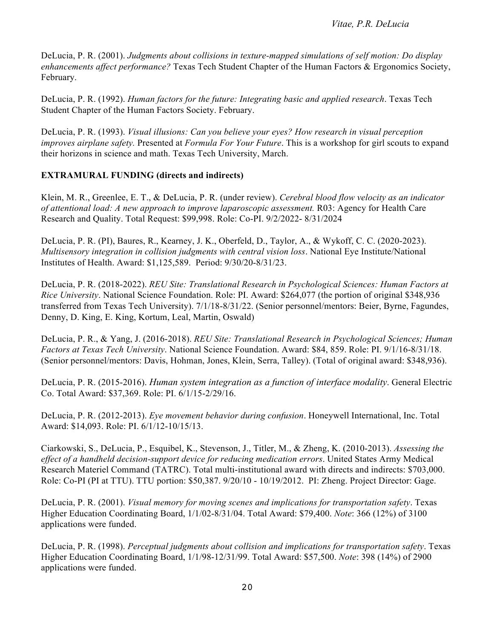DeLucia, P. R. (2001). *Judgments about collisions in texture-mapped simulations of self motion: Do display enhancements affect performance?* Texas Tech Student Chapter of the Human Factors & Ergonomics Society, February.

 DeLucia, P. R. (1992). *Human factors for the future: Integrating basic and applied research*. Texas Tech Student Chapter of the Human Factors Society. February.

 DeLucia, P. R. (1993). *Visual illusions: Can you believe your eyes? How research in visual perception improves airplane safety.* Presented at *Formula For Your Future*. This is a workshop for girl scouts to expand their horizons in science and math. Texas Tech University, March.

# **EXTRAMURAL FUNDING (directs and indirects)**

 Klein, M. R., Greenlee, E. T., & DeLucia, P. R. (under review). *Cerebral blood flow velocity as an indicator of attentional load: A new approach to improve laparoscopic assessment.* R03: Agency for Health Care Research and Quality. Total Request: \$99,998. Role: Co-PI. 9/2/2022- 8/31/2024

 DeLucia, P. R. (PI), Baures, R., Kearney, J. K., Oberfeld, D., Taylor, A., & Wykoff, C. C. (2020-2023).  *Multisensory integration in collision judgments with central vision loss*. National Eye Institute/National Institutes of Health. Award: \$1,125,589. Period: 9/30/20-8/31/23.

 DeLucia, P. R. (2018-2022). *REU Site: Translational Research in Psychological Sciences: Human Factors at Rice University*. National Science Foundation. Role: PI. Award: \$264,077 (the portion of original \$348,936 transferred from Texas Tech University). 7/1/18-8/31/22. (Senior personnel/mentors: Beier, Byrne, Fagundes, Denny, D. King, E. King, Kortum, Leal, Martin, Oswald)

 DeLucia, P. R., & Yang, J. (2016-2018). *REU Site: Translational Research in Psychological Sciences; Human Factors at Texas Tech University*. National Science Foundation. Award: \$84, 859. Role: PI. 9/1/16-8/31/18. (Senior personnel/mentors: Davis, Hohman, Jones, Klein, Serra, Talley). (Total of original award: \$348,936).

 DeLucia, P. R. (2015-2016). *Human system integration as a function of interface modality*. General Electric Co. Total Award: \$37,369. Role: PI. 6/1/15-2/29/16.

 DeLucia, P. R. (2012-2013). *Eye movement behavior during confusion*. Honeywell International, Inc. Total Award: \$14,093. Role: PI. 6/1/12-10/15/13.

 Ciarkowski, S., DeLucia, P., Esquibel, K., Stevenson, J., Titler, M., & Zheng, K. (2010-2013). *Assessing the effect of a handheld decision-support device for reducing medication errors*. United States Army Medical Research Materiel Command (TATRC). Total multi-institutional award with directs and indirects: \$703,000. Role: Co-PI (PI at TTU). TTU portion: \$50,387. 9/20/10 - 10/19/2012. PI: Zheng. Project Director: Gage.

 DeLucia, P. R. (2001). *Visual memory for moving scenes and implications for transportation safety*. Texas Higher Education Coordinating Board, 1/1/02-8/31/04. Total Award: \$79,400. *Note*: 366 (12%) of 3100 applications were funded.

 DeLucia, P. R. (1998). *Perceptual judgments about collision and implications for transportation safety*. Texas Higher Education Coordinating Board, 1/1/98-12/31/99. Total Award: \$57,500. *Note*: 398 (14%) of 2900 applications were funded.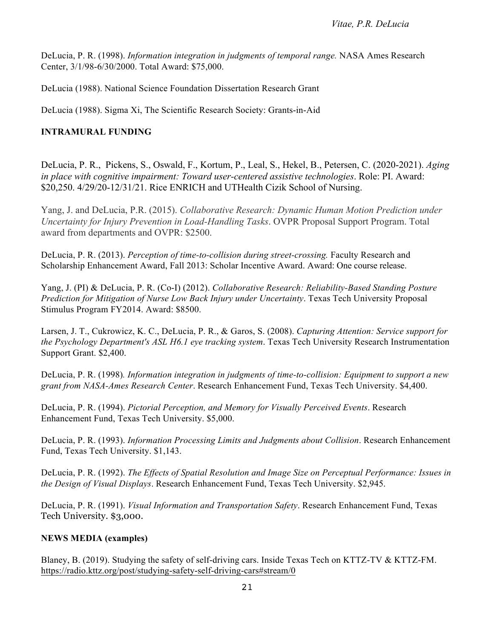DeLucia, P. R. (1998). *Information integration in judgments of temporal range.* NASA Ames Research Center, 3/1/98-6/30/2000. Total Award: \$75,000.

DeLucia (1988). National Science Foundation Dissertation Research Grant

DeLucia (1988). Sigma Xi, The Scientific Research Society: Grants-in-Aid

# **INTRAMURAL FUNDING**

DeLucia, P. R., Pickens, S., Oswald, F., Kortum, P., Leal, S., Hekel, B., Petersen, C. (2020-2021). *Aging in place with cognitive impairment: Toward user-centered assistive technologies*. Role: PI. Award: \$20,250. 4/29/20-12/31/21. Rice ENRICH and UTHealth Cizik School of Nursing.

Yang, J. and DeLucia, P.R. (2015). *Collaborative Research: Dynamic Human Motion Prediction under Uncertainty for Injury Prevention in Load-Handling Tasks*. OVPR Proposal Support Program. Total award from departments and OVPR: \$2500.

DeLucia, P. R. (2013). *Perception of time-to-collision during street-crossing*. Faculty Research and Scholarship Enhancement Award, Fall 2013: Scholar Incentive Award. Award: One course release.

 Yang, J. (PI) & DeLucia, P. R. (Co-I) (2012). *Collaborative Research: Reliability-Based Standing Posture Prediction for Mitigation of Nurse Low Back Injury under Uncertainty*. Texas Tech University Proposal Stimulus Program FY2014. Award: \$8500.

 Larsen, J. T., Cukrowicz, K. C., DeLucia, P. R., & Garos, S. (2008). *Capturing Attention: Service support for*  Support Grant. \$2,400. *the Psychology Department's ASL H6.1 eye tracking system*. Texas Tech University Research Instrumentation

 DeLucia, P. R. (1998)*. Information integration in judgments of time-to-collision: Equipment to support a new grant from NASA-Ames Research Center*. Research Enhancement Fund, Texas Tech University. \$4,400.

 DeLucia, P. R. (1994). *Pictorial Perception, and Memory for Visually Perceived Events*. Research Enhancement Fund, Texas Tech University. \$5,000.

 DeLucia, P. R. (1993). *Information Processing Limits and Judgments about Collision*. Research Enhancement Fund, Texas Tech University. \$1,143.

 DeLucia, P. R. (1992). *The Effects of Spatial Resolution and Image Size on Perceptual Performance: Issues in the Design of Visual Displays*. Research Enhancement Fund, Texas Tech University. \$2,945.

 DeLucia, P. R. (1991). *Visual Information and Transportation Safety*. Research Enhancement Fund, Texas Tech University. \$3,000.

## **NEWS MEDIA (examples)**

 Blaney, B. (2019). Studying the safety of self-driving cars. Inside Texas Tech on KTTZ-TV & KTTZ-FM. <https://radio.kttz.org/post/studying-safety-self-driving-cars#stream/0>